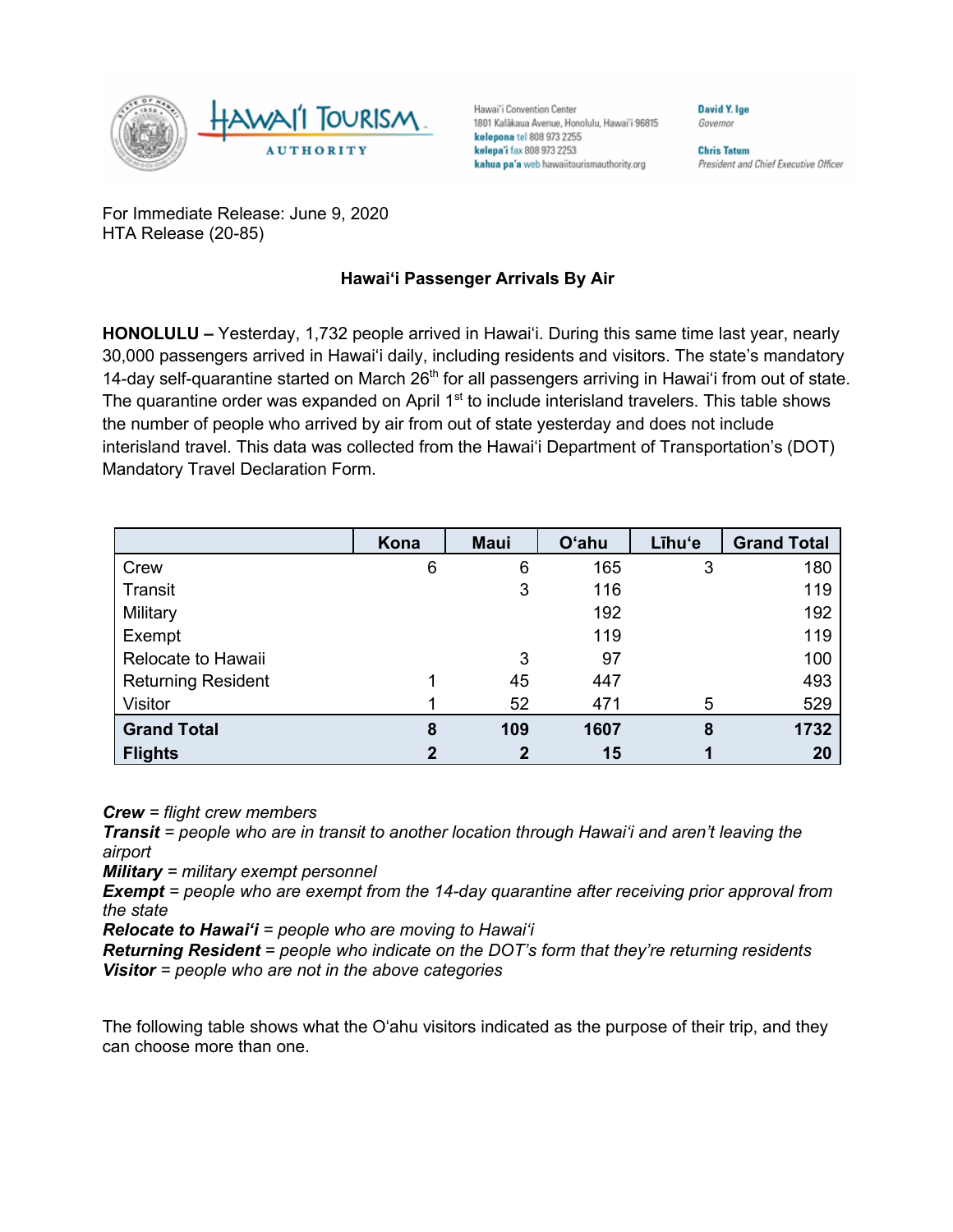

Hawai'i Convention Center 1801 Kalākaua Avenue, Honolulu, Hawai'i 96815 kelepona tel 808 973 2255 kelepa'i fax 808 973 2253 kahua pa'a web hawaiitourismauthority.org

**Chris Tatum** President and Chief Executive Officer

David Y. Ige

Governor

For Immediate Release: June 9, 2020 HTA Release (20-85)

## **Hawai'i Passenger Arrivals By Air**

**HONOLULU –** Yesterday, 1,732 people arrived in Hawai'i. During this same time last year, nearly 30,000 passengers arrived in Hawai'i daily, including residents and visitors. The state's mandatory 14-day self-quarantine started on March 26<sup>th</sup> for all passengers arriving in Hawai'i from out of state. The quarantine order was expanded on April 1<sup>st</sup> to include interisland travelers. This table shows the number of people who arrived by air from out of state yesterday and does not include interisland travel. This data was collected from the Hawai'i Department of Transportation's (DOT) Mandatory Travel Declaration Form.

|                           | Kona | <b>Maui</b> | <b>O'ahu</b> | Līhu'e | <b>Grand Total</b> |
|---------------------------|------|-------------|--------------|--------|--------------------|
| Crew                      | 6    | 6           | 165          | 3      | 180                |
| Transit                   |      | 3           | 116          |        | 119                |
| Military                  |      |             | 192          |        | 192                |
| Exempt                    |      |             | 119          |        | 119                |
| Relocate to Hawaii        |      | 3           | 97           |        | 100                |
| <b>Returning Resident</b> |      | 45          | 447          |        | 493                |
| Visitor                   |      | 52          | 471          | 5      | 529                |
| <b>Grand Total</b>        | 8    | 109         | 1607         | 8      | 1732               |
| <b>Flights</b>            | 2    | 2           | 15           |        | 20                 |

*Crew = flight crew members*

*Transit = people who are in transit to another location through Hawai'i and aren't leaving the airport*

*Military = military exempt personnel*

*Exempt = people who are exempt from the 14-day quarantine after receiving prior approval from the state*

*Relocate to Hawai'i = people who are moving to Hawai'i*

*Returning Resident = people who indicate on the DOT's form that they're returning residents Visitor = people who are not in the above categories*

The following table shows what the O'ahu visitors indicated as the purpose of their trip, and they can choose more than one.